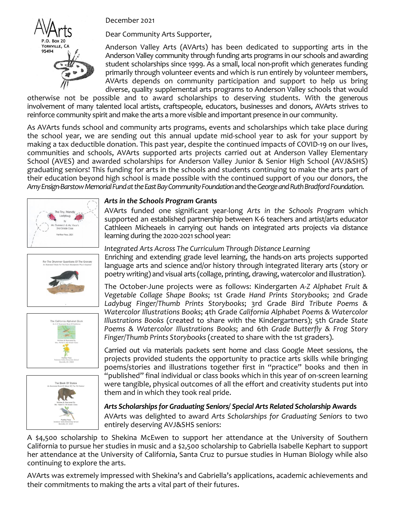

December 2021

Dear Community Arts Supporter,

Anderson Valley Arts (AVArts) has been dedicated to supporting arts in the Anderson Valley community through funding arts programs in our schools and awarding student scholarships since 1999. As a small, local non-profit which generates funding primarily through volunteer events and which is run entirely by volunteer members, AVArts depends on community participation and support to help us bring diverse, quality supplemental arts programs to Anderson Valley schools that would

otherwise not be possible and to award scholarships to deserving students. With the generous involvement of many talented local artists, craftspeople, educators, businesses and donors, AVArts strives to reinforce community spirit and make the arts a more visible and important presence in our community.

As AVArts funds school and community arts programs, events and scholarships which take place during the school year, we are sending out this annual update mid-school year to ask for your support by making a tax deductible donation. This past year, despite the continued impacts of COVID-19 on our lives, communities and schools, AVArts supported arts projects carried out at Anderson Valley Elementary School (AVES) and awarded scholarships for Anderson Valley Junior & Senior High School (AVJ&SHS) graduating seniors! This funding for arts in the schools and students continuing to make the arts part of their education beyond high school is made possible with the continued support of you our donors, the *Amy Ensign-Barstow Memorial Fund at the East Bay Community Foundation*and the *George and Ruth Bradford Foundation*.









## *Arts in the Schools Program* **Grants**

AVArts funded one significant year-long *Arts in the Schools Program* which supported an established partnership between K-6 teachers and artist/arts educator Cathleen Micheaels in carrying out hands on integrated arts projects via distance learning during the 2020-2021 school year:

*Integrated Arts Across The Curriculum Through Distance Learning* Enriching and extending grade level learning, the hands-on arts projects supported language arts and science and/or history through integrated literary arts (story or poetry writing) and visual arts (collage, printing, drawing, watercolor and illustration).

The October-June projects were as follows: Kindergarten *A-Z Alphabet Fruit & Vegetable Collage Shape Books*; 1st Grade *Hand Prints Storybooks*; 2nd Grade *Ladybug Finger/Thumb Prints Storybooks*; 3rd Grade *Bird Tribute Poems & Watercolor Illustrations Books*; 4th Grade *California Alphabet Poems & Watercolor Illustrations Books* (created to share with the Kindergartners); 5th Grade *State Poems & Watercolor Illustrations Books*; and 6th *Grade Butterfly & Frog Story Finger/Thumb Prints Storybooks* (created to share with the 1st graders).

Carried out via materials packets sent home and class Google Meet sessions, the projects provided students the opportunity to practice arts skills while bringing poems/stories and illustrations together first in "practice" books and then in "published" final individual or class books which in this year of on-screen learning were tangible, physical outcomes of all the effort and creativity students put into them and in which they took real pride.

## *Arts Scholarships for Graduating Seniors/ Special Arts Related Scholarship* **Awards** AVArts was delighted to award *Arts Scholarships for Graduating Seniors* to two

entirely deserving AVJ&SHS seniors:

A \$4,500 scholarship to Shekina McEwen to support her attendance at the University of Southern California to pursue her studies in music and a \$2,500 scholarship to Gabriella Isabelle Kephart to support her attendance at the University of California, Santa Cruz to pursue studies in Human Biology while also continuing to explore the arts.

AVArts was extremely impressed with Shekina's and Gabriella's applications, academic achievements and their commitments to making the arts a vital part of their futures.